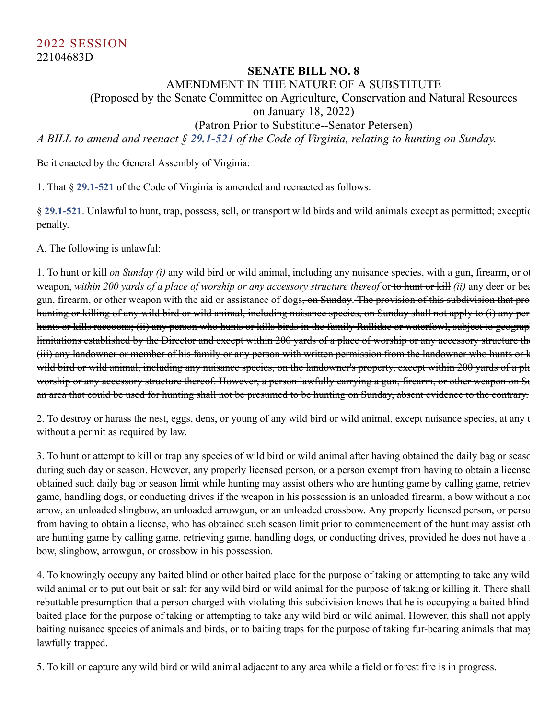## **SENATE BILL NO. 8**

AMENDMENT IN THE NATURE OF A SUBSTITUTE

(Proposed by the Senate Committee on Agriculture, Conservation and Natural Resources

on January 18, 2022)

(Patron Prior to Substitute--Senator Petersen)

*A BILL to amend and reenact § [29.1-521](http://law.lis.virginia.gov/vacode/29.1-521) of the Code of Virginia, relating to hunting on Sunday.*

Be it enacted by the General Assembly of Virginia:

1. That § **[29.1-521](http://law.lis.virginia.gov/vacode/29.1-521)** of the Code of Virginia is amended and reenacted as follows:

§ [29.1-521](http://law.lis.virginia.gov/vacode/29.1-521). Unlawful to hunt, trap, possess, sell, or transport wild birds and wild animals except as permitted; exceptic penalty.

A. The following is unlawful:

1. To hunt or kill *on Sunday (i)* any wild bird or wild animal, including any nuisance species, with a gun, firearm, or ot weapon, within 200 yards of a place of worship or any accessory structure thereof or to hunt or kill *(ii)* any deer or bea gun, firearm, or other weapon with the aid or assistance of dogs, on Sunday. The provision of this subdivision that pro hunting or killing of any wild bird or wild animal, including nuisance species, on Sunday shall not apply to (i) any per hunts or kills raccoons; (ii) any person who hunts or kills birds in the family Rallidae or waterfowl, subject to geograp limitations established by the Director and except within 200 yards of a place of worship or any accessory structure the (iii) any landowner or member of his family or any person with written permission from the landowner who hunts or k wild bird or wild animal, including any nuisance species, on the landowner's property, except within 200 yards of a pla worship or any accessory structure thereof. However, a person lawfully carrying a gun, firearm, or other weapon on Su an area that could be used for hunting shall not be presumed to be hunting on Sunday, absent evidence to the contrary.

2. To destroy or harass the nest, eggs, dens, or young of any wild bird or wild animal, except nuisance species, at any t without a permit as required by law.

3. To hunt or attempt to kill or trap any species of wild bird or wild animal after having obtained the daily bag or seaso during such day or season. However, any properly licensed person, or a person exempt from having to obtain a license obtained such daily bag or season limit while hunting may assist others who are hunting game by calling game, retriev game, handling dogs, or conducting drives if the weapon in his possession is an unloaded firearm, a bow without a noc arrow, an unloaded slingbow, an unloaded arrowgun, or an unloaded crossbow. Any properly licensed person, or perso from having to obtain a license, who has obtained such season limit prior to commencement of the hunt may assist oth are hunting game by calling game, retrieving game, handling dogs, or conducting drives, provided he does not have a bow, slingbow, arrowgun, or crossbow in his possession.

4. To knowingly occupy any baited blind or other baited place for the purpose of taking or attempting to take any wild wild animal or to put out bait or salt for any wild bird or wild animal for the purpose of taking or killing it. There shall rebuttable presumption that a person charged with violating this subdivision knows that he is occupying a baited blind baited place for the purpose of taking or attempting to take any wild bird or wild animal. However, this shall not apply baiting nuisance species of animals and birds, or to baiting traps for the purpose of taking fur-bearing animals that may lawfully trapped.

5. To kill or capture any wild bird or wild animal adjacent to any area while a field or forest fire is in progress.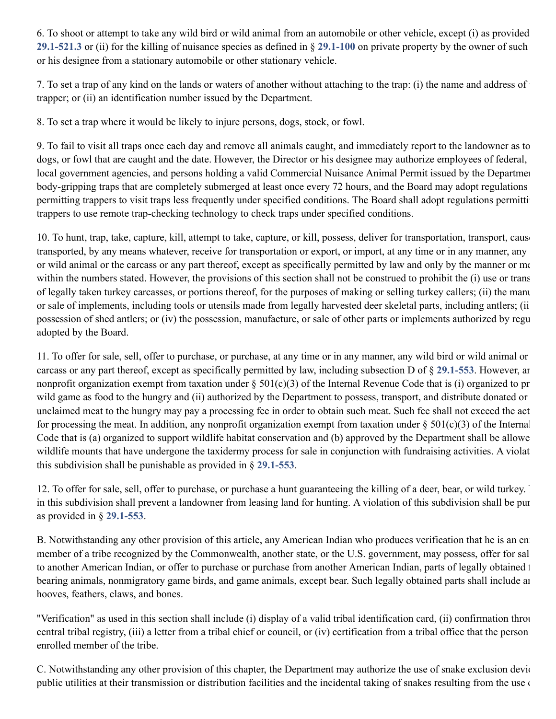6. To shoot or attempt to take any wild bird or wild animal from an automobile or other vehicle, except (i) as provided **[29.1-521.3](http://law.lis.virginia.gov/vacode/29.1-521.3)** or (ii) for the killing of nuisance species as defined in § **[29.1-100](http://law.lis.virginia.gov/vacode/29.1-100)** on private property by the owner of such or his designee from a stationary automobile or other stationary vehicle.

7. To set a trap of any kind on the lands or waters of another without attaching to the trap: (i) the name and address of t trapper; or (ii) an identification number issued by the Department.

8. To set a trap where it would be likely to injure persons, dogs, stock, or fowl.

9. To fail to visit all traps once each day and remove all animals caught, and immediately report to the landowner as to dogs, or fowl that are caught and the date. However, the Director or his designee may authorize employees of federal, local government agencies, and persons holding a valid Commercial Nuisance Animal Permit issued by the Departmen body-gripping traps that are completely submerged at least once every 72 hours, and the Board may adopt regulations permitting trappers to visit traps less frequently under specified conditions. The Board shall adopt regulations permittin trappers to use remote trap-checking technology to check traps under specified conditions.

10. To hunt, trap, take, capture, kill, attempt to take, capture, or kill, possess, deliver for transportation, transport, cause transported, by any means whatever, receive for transportation or export, or import, at any time or in any manner, any or wild animal or the carcass or any part thereof, except as specifically permitted by law and only by the manner or me within the numbers stated. However, the provisions of this section shall not be construed to prohibit the (i) use or trans of legally taken turkey carcasses, or portions thereof, for the purposes of making or selling turkey callers; (ii) the manu or sale of implements, including tools or utensils made from legally harvested deer skeletal parts, including antlers; (ii possession of shed antlers; or (iv) the possession, manufacture, or sale of other parts or implements authorized by regu adopted by the Board.

11. To offer for sale, sell, offer to purchase, or purchase, at any time or in any manner, any wild bird or wild animal or carcass or any part thereof, except as specifically permitted by law, including subsection D of § **[29.1-553](http://law.lis.virginia.gov/vacode/29.1-553)**. However, an nonprofit organization exempt from taxation under  $\S 501(c)(3)$  of the Internal Revenue Code that is (i) organized to pr wild game as food to the hungry and (ii) authorized by the Department to possess, transport, and distribute donated or unclaimed meat to the hungry may pay a processing fee in order to obtain such meat. Such fee shall not exceed the act for processing the meat. In addition, any nonprofit organization exempt from taxation under  $\S 501(c)(3)$  of the Internal Code that is (a) organized to support wildlife habitat conservation and (b) approved by the Department shall be allowe wildlife mounts that have undergone the taxidermy process for sale in conjunction with fundraising activities. A violat this subdivision shall be punishable as provided in § **[29.1-553](http://law.lis.virginia.gov/vacode/29.1-553)**.

12. To offer for sale, sell, offer to purchase, or purchase a hunt guaranteeing the killing of a deer, bear, or wild turkey. in this subdivision shall prevent a landowner from leasing land for hunting. A violation of this subdivision shall be pun as provided in § **[29.1-553](http://law.lis.virginia.gov/vacode/29.1-553)**.

B. Notwithstanding any other provision of this article, any American Indian who produces verification that he is an enr member of a tribe recognized by the Commonwealth, another state, or the U.S. government, may possess, offer for sal to another American Indian, or offer to purchase or purchase from another American Indian, parts of legally obtained f bearing animals, nonmigratory game birds, and game animals, except bear. Such legally obtained parts shall include an hooves, feathers, claws, and bones.

"Verification" as used in this section shall include (i) display of a valid tribal identification card, (ii) confirmation throu central tribal registry, (iii) a letter from a tribal chief or council, or (iv) certification from a tribal office that the person enrolled member of the tribe.

C. Notwithstanding any other provision of this chapter, the Department may authorize the use of snake exclusion devic public utilities at their transmission or distribution facilities and the incidental taking of snakes resulting from the use of